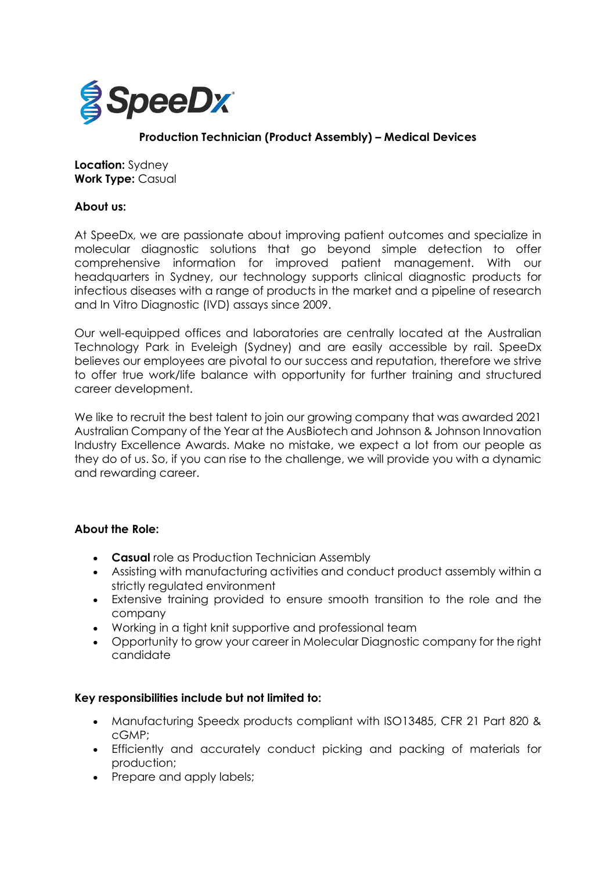

# **Production Technician (Product Assembly) – Medical Devices**

**Location:** Sydney **Work Type:** Casual

### **About us:**

At SpeeDx, we are passionate about improving patient outcomes and specialize in molecular diagnostic solutions that go beyond simple detection to offer comprehensive information for improved patient management. With our headquarters in Sydney, our technology supports clinical diagnostic products for infectious diseases with a range of products in the market and a pipeline of research and In Vitro Diagnostic (IVD) assays since 2009.

Our well-equipped offices and laboratories are centrally located at the Australian Technology Park in Eveleigh (Sydney) and are easily accessible by rail. SpeeDx believes our employees are pivotal to our success and reputation, therefore we strive to offer true work/life balance with opportunity for further training and structured career development.

We like to recruit the best talent to join our growing company that was awarded 2021 Australian Company of the Year at the AusBiotech and Johnson & Johnson Innovation Industry Excellence Awards. Make no mistake, we expect a lot from our people as they do of us. So, if you can rise to the challenge, we will provide you with a dynamic and rewarding career.

### **About the Role:**

- **Casual** role as Production Technician Assembly
- Assisting with manufacturing activities and conduct product assembly within a strictly regulated environment
- Extensive training provided to ensure smooth transition to the role and the company
- Working in a tight knit supportive and professional team
- Opportunity to grow your career in Molecular Diagnostic company for the right candidate

## **Key responsibilities include but not limited to:**

- Manufacturing Speedx products compliant with ISO13485, CFR 21 Part 820 & cGMP;
- Efficiently and accurately conduct picking and packing of materials for production;
- Prepare and apply labels;